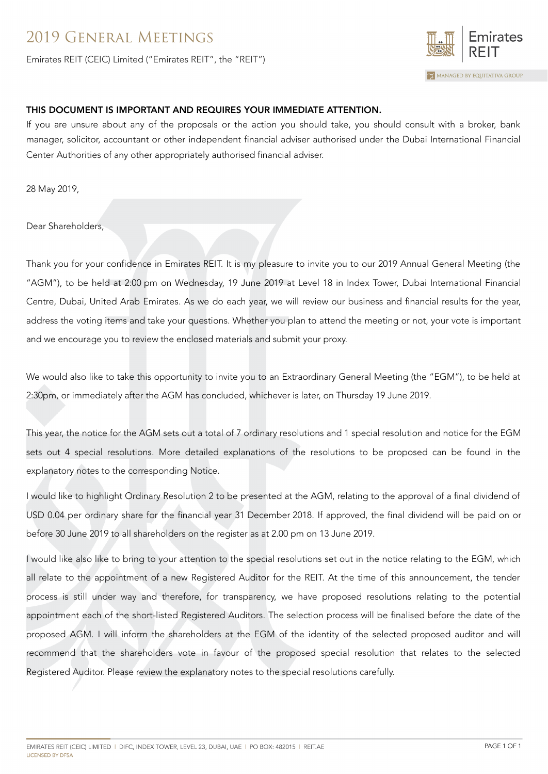## 2019 General Meetings

Emirates REIT (CEIC) Limited ("Emirates REIT", the "REIT")



## THIS DOCUMENT IS IMPORTANT AND REQUIRES YOUR IMMEDIATE ATTENTION.

If you are unsure about any of the proposals or the action you should take, you should consult with a broker, bank manager, solicitor, accountant or other independent financial adviser authorised under the Dubai International Financial Center Authorities of any other appropriately authorised financial adviser.

28 May 2019,

Dear Shareholders,

Thank you for your confidence in Emirates REIT. It is my pleasure to invite you to our 2019 Annual General Meeting (the "AGM"), to be held at 2:00 pm on Wednesday, 19 June 2019 at Level 18 in Index Tower, Dubai International Financial Centre, Dubai, United Arab Emirates. As we do each year, we will review our business and financial results for the year, address the voting items and take your questions. Whether you plan to attend the meeting or not, your vote is important and we encourage you to review the enclosed materials and submit your proxy.

We would also like to take this opportunity to invite you to an Extraordinary General Meeting (the "EGM"), to be held at 2:30pm, or immediately after the AGM has concluded, whichever is later, on Thursday 19 June 2019.

This year, the notice for the AGM sets out a total of 7 ordinary resolutions and 1 special resolution and notice for the EGM sets out 4 special resolutions. More detailed explanations of the resolutions to be proposed can be found in the explanatory notes to the corresponding Notice.

I would like to highlight Ordinary Resolution 2 to be presented at the AGM, relating to the approval of a final dividend of USD 0.04 per ordinary share for the financial year 31 December 2018. If approved, the final dividend will be paid on or before 30 June 2019 to all shareholders on the register as at 2.00 pm on 13 June 2019.

I would like also like to bring to your attention to the special resolutions set out in the notice relating to the EGM, which all relate to the appointment of a new Registered Auditor for the REIT. At the time of this announcement, the tender process is still under way and therefore, for transparency, we have proposed resolutions relating to the potential appointment each of the short-listed Registered Auditors. The selection process will be finalised before the date of the proposed AGM. I will inform the shareholders at the EGM of the identity of the selected proposed auditor and will recommend that the shareholders vote in favour of the proposed special resolution that relates to the selected Registered Auditor. Please review the explanatory notes to the special resolutions carefully.